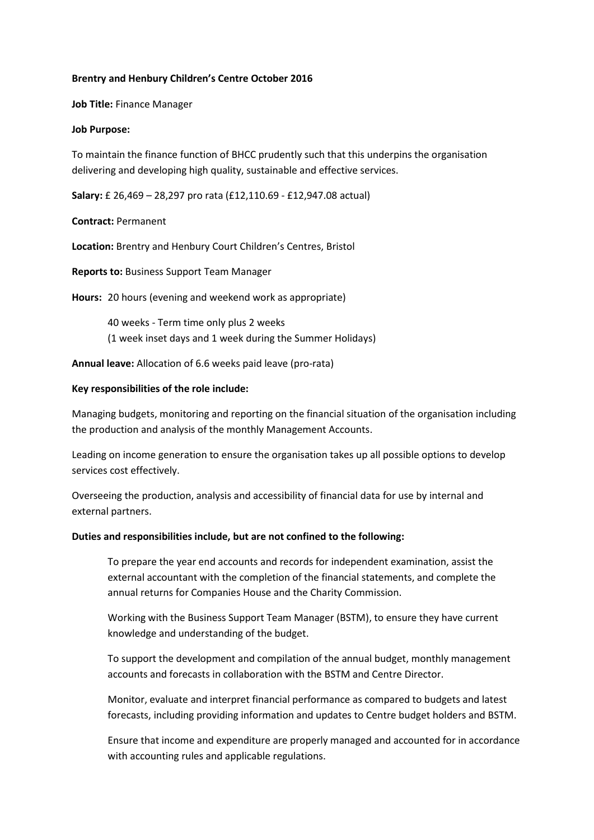#### **Brentry and Henbury Children's Centre October 2016**

**Job Title:** Finance Manager

#### **Job Purpose:**

To maintain the finance function of BHCC prudently such that this underpins the organisation delivering and developing high quality, sustainable and effective services.

**Salary:** £ 26,469 – 28,297 pro rata (£12,110.69 - £12,947.08 actual)

#### **Contract:** Permanent

**Location:** Brentry and Henbury Court Children's Centres, Bristol

**Reports to:** Business Support Team Manager

**Hours:** 20 hours (evening and weekend work as appropriate)

40 weeks - Term time only plus 2 weeks (1 week inset days and 1 week during the Summer Holidays)

**Annual leave:** Allocation of 6.6 weeks paid leave (pro-rata)

#### **Key responsibilities of the role include:**

Managing budgets, monitoring and reporting on the financial situation of the organisation including the production and analysis of the monthly Management Accounts.

Leading on income generation to ensure the organisation takes up all possible options to develop services cost effectively.

Overseeing the production, analysis and accessibility of financial data for use by internal and external partners.

#### **Duties and responsibilities include, but are not confined to the following:**

To prepare the year end accounts and records for independent examination, assist the external accountant with the completion of the financial statements, and complete the annual returns for Companies House and the Charity Commission.

Working with the Business Support Team Manager (BSTM), to ensure they have current knowledge and understanding of the budget.

To support the development and compilation of the annual budget, monthly management accounts and forecasts in collaboration with the BSTM and Centre Director.

Monitor, evaluate and interpret financial performance as compared to budgets and latest forecasts, including providing information and updates to Centre budget holders and BSTM.

Ensure that income and expenditure are properly managed and accounted for in accordance with accounting rules and applicable regulations.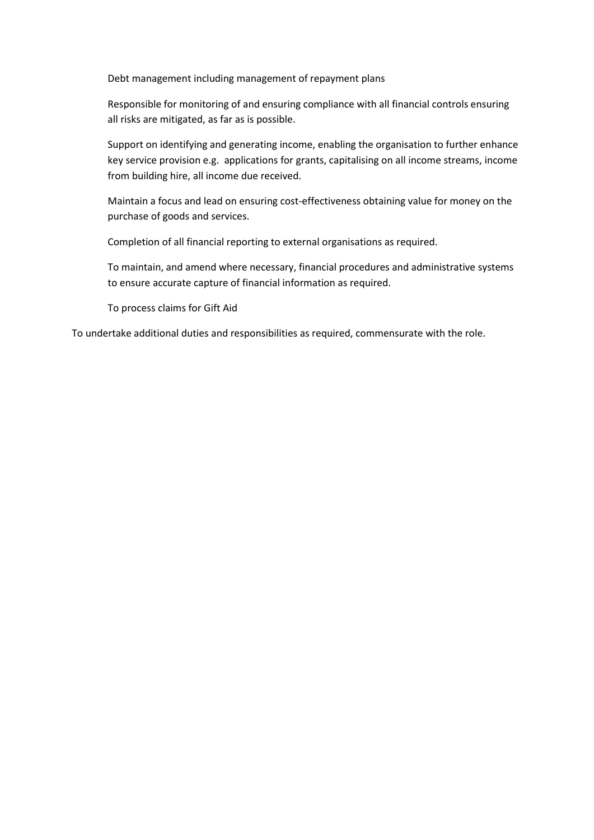Debt management including management of repayment plans

Responsible for monitoring of and ensuring compliance with all financial controls ensuring all risks are mitigated, as far as is possible.

Support on identifying and generating income, enabling the organisation to further enhance key service provision e.g. applications for grants, capitalising on all income streams, income from building hire, all income due received.

Maintain a focus and lead on ensuring cost-effectiveness obtaining value for money on the purchase of goods and services.

Completion of all financial reporting to external organisations as required.

To maintain, and amend where necessary, financial procedures and administrative systems to ensure accurate capture of financial information as required.

To process claims for Gift Aid

To undertake additional duties and responsibilities as required, commensurate with the role.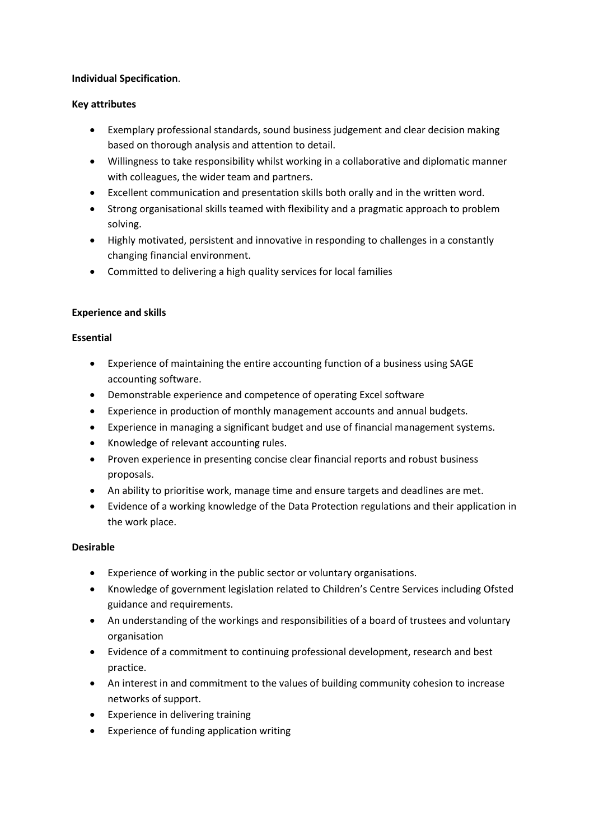## **Individual Specification**.

# **Key attributes**

- Exemplary professional standards, sound business judgement and clear decision making based on thorough analysis and attention to detail.
- Willingness to take responsibility whilst working in a collaborative and diplomatic manner with colleagues, the wider team and partners.
- Excellent communication and presentation skills both orally and in the written word.
- Strong organisational skills teamed with flexibility and a pragmatic approach to problem solving.
- Highly motivated, persistent and innovative in responding to challenges in a constantly changing financial environment.
- Committed to delivering a high quality services for local families

# **Experience and skills**

## **Essential**

- Experience of maintaining the entire accounting function of a business using SAGE accounting software.
- Demonstrable experience and competence of operating Excel software
- Experience in production of monthly management accounts and annual budgets.
- Experience in managing a significant budget and use of financial management systems.
- Knowledge of relevant accounting rules.
- Proven experience in presenting concise clear financial reports and robust business proposals.
- An ability to prioritise work, manage time and ensure targets and deadlines are met.
- Evidence of a working knowledge of the Data Protection regulations and their application in the work place.

#### **Desirable**

- Experience of working in the public sector or voluntary organisations.
- Knowledge of government legislation related to Children's Centre Services including Ofsted guidance and requirements.
- An understanding of the workings and responsibilities of a board of trustees and voluntary organisation
- Evidence of a commitment to continuing professional development, research and best practice.
- An interest in and commitment to the values of building community cohesion to increase networks of support.
- Experience in delivering training
- Experience of funding application writing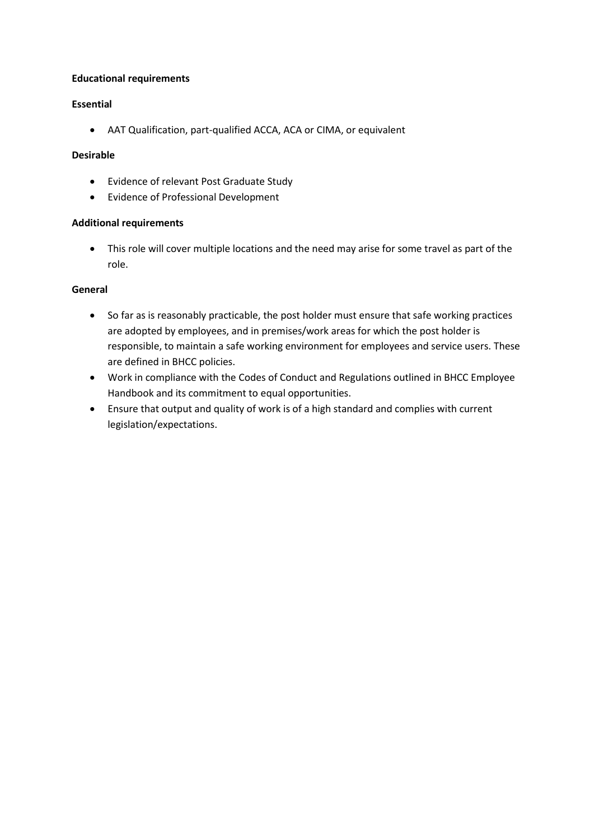## **Educational requirements**

# **Essential**

AAT Qualification, part-qualified ACCA, ACA or CIMA, or equivalent

## **Desirable**

- Evidence of relevant Post Graduate Study
- Evidence of Professional Development

## **Additional requirements**

 This role will cover multiple locations and the need may arise for some travel as part of the role.

# **General**

- So far as is reasonably practicable, the post holder must ensure that safe working practices are adopted by employees, and in premises/work areas for which the post holder is responsible, to maintain a safe working environment for employees and service users. These are defined in BHCC policies.
- Work in compliance with the Codes of Conduct and Regulations outlined in BHCC Employee Handbook and its commitment to equal opportunities.
- Ensure that output and quality of work is of a high standard and complies with current legislation/expectations.